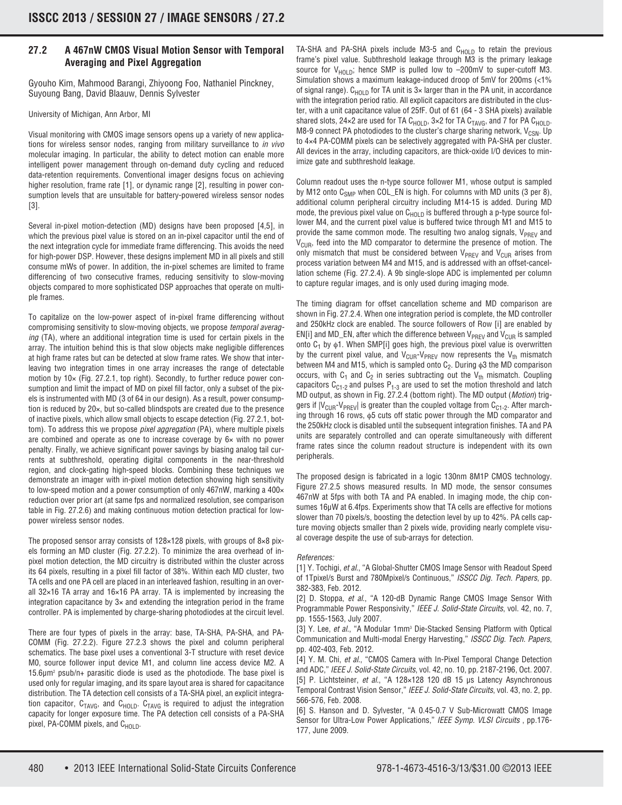## **27.2 A 467nW CMOS Visual Motion Sensor with Temporal Averaging and Pixel Aggregation**

Gyouho Kim, Mahmood Barangi, Zhiyoong Foo, Nathaniel Pinckney, Suyoung Bang, David Blaauw, Dennis Sylvester

University of Michigan, Ann Arbor, MI

Visual monitoring with CMOS image sensors opens up a variety of new applications for wireless sensor nodes, ranging from military surveillance to in vivo molecular imaging. In particular, the ability to detect motion can enable more intelligent power management through on-demand duty cycling and reduced data-retention requirements. Conventional imager designs focus on achieving higher resolution, frame rate [1], or dynamic range [2], resulting in power consumption levels that are unsuitable for battery-powered wireless sensor nodes [3].

Several in-pixel motion-detection (MD) designs have been proposed [4,5], in which the previous pixel value is stored on an in-pixel capacitor until the end of the next integration cycle for immediate frame differencing. This avoids the need for high-power DSP. However, these designs implement MD in all pixels and still consume mWs of power. In addition, the in-pixel schemes are limited to frame differencing of two consecutive frames, reducing sensitivity to slow-moving objects compared to more sophisticated DSP approaches that operate on multiple frames.

To capitalize on the low-power aspect of in-pixel frame differencing without compromising sensitivity to slow-moving objects, we propose temporal averaging (TA), where an additional integration time is used for certain pixels in the array. The intuition behind this is that slow objects make negligible differences at high frame rates but can be detected at slow frame rates. We show that interleaving two integration times in one array increases the range of detectable motion by 10× (Fig. 27.2.1, top right). Secondly, to further reduce power consumption and limit the impact of MD on pixel fill factor, only a subset of the pixels is instrumented with MD (3 of 64 in our design). As a result, power consumption is reduced by 20×, but so-called blindspots are created due to the presence of inactive pixels, which allow small objects to escape detection (Fig. 27.2.1, bottom). To address this we propose *pixel aggregation* (PA), where multiple pixels are combined and operate as one to increase coverage by 6× with no power penalty. Finally, we achieve significant power savings by biasing analog tail currents at subthreshold, operating digital components in the near-threshold region, and clock-gating high-speed blocks. Combining these techniques we demonstrate an imager with in-pixel motion detection showing high sensitivity to low-speed motion and a power consumption of only 467nW, marking a 400 $\times$ reduction over prior art (at same fps and normalized resolution, see comparison table in Fig. 27.2.6) and making continuous motion detection practical for lowpower wireless sensor nodes.

The proposed sensor array consists of 128×128 pixels, with groups of 8×8 pixels forming an MD cluster (Fig. 27.2.2). To minimize the area overhead of inpixel motion detection, the MD circuitry is distributed within the cluster across its 64 pixels, resulting in a pixel fill factor of 38%. Within each MD cluster, two TA cells and one PA cell are placed in an interleaved fashion, resulting in an overall 32×16 TA array and 16×16 PA array. TA is implemented by increasing the integration capacitance by 3× and extending the integration period in the frame controller. PA is implemented by charge-sharing photodiodes at the circuit level.

There are four types of pixels in the array: base, TA-SHA, PA-SHA, and PA-COMM (Fig. 27.2.2). Figure 27.2.3 shows the pixel and column peripheral schematics. The base pixel uses a conventional 3-T structure with reset device M0, source follower input device M1, and column line access device M2. A 15.6μm2 psub/n+ parasitic diode is used as the photodiode. The base pixel is used only for regular imaging, and its spare layout area is shared for capacitance distribution. The TA detection cell consists of a TA-SHA pixel, an explicit integration capacitor,  $C_{TAVG}$ , and  $C_{HOLD}$ .  $C_{TAVG}$  is required to adjust the integration capacity for longer exposure time. The PA detection cell consists of a PA-SHA pixel, PA-COMM pixels, and  $C_{HOLD}$ .

TA-SHA and PA-SHA pixels include M3-5 and  $C_{HOLD}$  to retain the previous frame's pixel value. Subthreshold leakage through M3 is the primary leakage source for  $V_{H\Omega\setminus D}$ ; hence SMP is pulled low to  $-200$ mV to super-cutoff M3. Simulation shows a maximum leakage-induced droop of 5mV for 200ms (<1% of signal range).  $C_{HOLD}$  for TA unit is 3× larger than in the PA unit, in accordance with the integration period ratio. All explicit capacitors are distributed in the cluster, with a unit capacitance value of 25fF. Out of 61 (64 - 3 SHA pixels) available shared slots,  $24 \times 2$  are used for TA C<sub>HOLD</sub>,  $3 \times 2$  for TA C<sub>TAVG</sub>, and 7 for PA C<sub>HOLD</sub>. M8-9 connect PA photodiodes to the cluster's charge sharing network,  $V_{CSM}$ . Up to 4×4 PA-COMM pixels can be selectively aggregated with PA-SHA per cluster. All devices in the array, including capacitors, are thick-oxide I/O devices to minimize gate and subthreshold leakage.

Column readout uses the n-type source follower M1, whose output is sampled by M12 onto  $C_{SMP}$  when COL\_EN is high. For columns with MD units (3 per 8), additional column peripheral circuitry including M14-15 is added. During MD mode, the previous pixel value on  $C_{HOLD}$  is buffered through a p-type source follower M4, and the current pixel value is buffered twice through M1 and M15 to provide the same common mode. The resulting two analog signals,  $V_{PREV}$  and  $V<sub>CUB</sub>$ , feed into the MD comparator to determine the presence of motion. The only mismatch that must be considered between  $V_{PREV}$  and  $V_{CUR}$  arises from process variation between M4 and M15, and is addressed with an offset-cancellation scheme (Fig. 27.2.4). A 9b single-slope ADC is implemented per column to capture regular images, and is only used during imaging mode.

The timing diagram for offset cancellation scheme and MD comparison are shown in Fig. 27.2.4. When one integration period is complete, the MD controller and 250kHz clock are enabled. The source followers of Row [i] are enabled by EN[i] and MD\_EN, after which the difference between  $V_{PREV}$  and  $V_{CUR}$  is sampled onto  $C_1$  by  $\phi$ 1. When SMP[i] goes high, the previous pixel value is overwritten by the current pixel value, and  $V_{CUR}$ - $V_{PREV}$  now represents the  $V_{th}$  mismatch between M4 and M15, which is sampled onto  $C_2$ . During  $\phi$ 3 the MD comparison occurs, with  $C_1$  and  $C_2$  in series subtracting out the  $V_{th}$  mismatch. Coupling capacitors  $C_{C1-2}$  and pulses  $P_{1-3}$  are used to set the motion threshold and latch MD output, as shown in Fig. 27.2.4 (bottom right). The MD output (Motion) triggers if  $|V_{\text{CUR}}-V_{\text{PREV}}|$  is greater than the coupled voltage from  $C_{C1-2}$ . After marching through 16 rows, φ5 cuts off static power through the MD comparator and the 250kHz clock is disabled until the subsequent integration finishes. TA and PA units are separately controlled and can operate simultaneously with different frame rates since the column readout structure is independent with its own peripherals.

The proposed design is fabricated in a logic 130nm 8M1P CMOS technology. Figure 27.2.5 shows measured results. In MD mode, the sensor consumes 467nW at 5fps with both TA and PA enabled. In imaging mode, the chip consumes 16μW at 6.4fps. Experiments show that TA cells are effective for motions slower than 70 pixels/s, boosting the detection level by up to 42%. PA cells capture moving objects smaller than 2 pixels wide, providing nearly complete visual coverage despite the use of sub-arrays for detection.

## References:

[1] Y. Tochigi, et al., "A Global-Shutter CMOS Image Sensor with Readout Speed of 1Tpixel/s Burst and 780Mpixel/s Continuous," ISSCC Dig. Tech. Papers, pp. 382-383, Feb. 2012.

[2] D. Stoppa, et al., "A 120-dB Dynamic Range CMOS Image Sensor With Programmable Power Responsivity," IEEE J. Solid-State Circuits, vol. 42, no. 7, pp. 1555-1563, July 2007.

[3] Y. Lee, et al., "A Modular 1mm<sup>3</sup> Die-Stacked Sensing Platform with Optical Communication and Multi-modal Energy Harvesting," ISSCC Dig. Tech. Papers, pp. 402-403, Feb. 2012.

[4] Y. M. Chi, et al., "CMOS Camera with In-Pixel Temporal Change Detection and ADC," IEEE J. Solid-State Circuits, vol. 42, no. 10, pp. 2187-2196, Oct. 2007. [5] P. Lichtsteiner, et al., "A 128×128 120 dB 15 μs Latency Asynchronous Temporal Contrast Vision Sensor," IEEE J. Solid-State Circuits, vol. 43, no. 2, pp. 566-576, Feb. 2008.

[6] S. Hanson and D. Sylvester, "A 0.45-0.7 V Sub-Microwatt CMOS Image Sensor for Ultra-Low Power Applications," IEEE Symp. VLSI Circuits, pp.176-177, June 2009.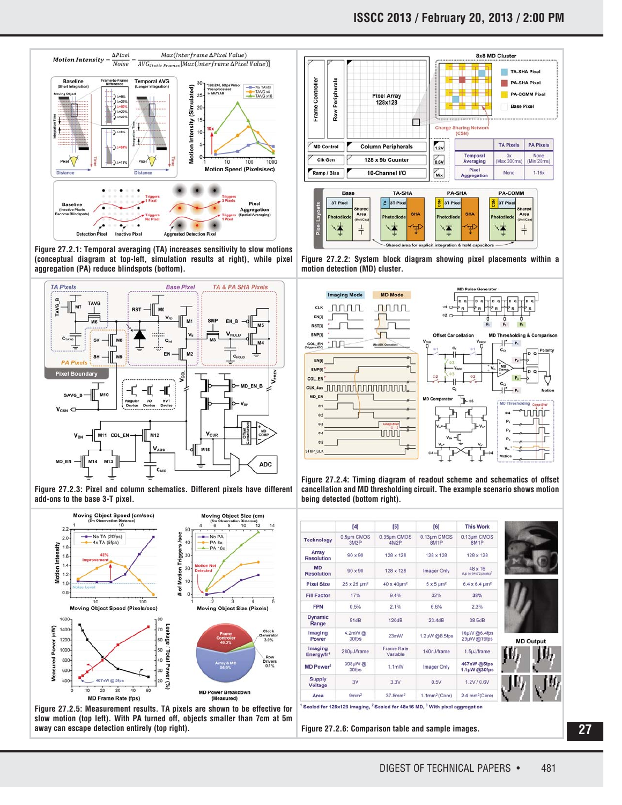

**Figure 27.2.1: Temporal averaging (TA) increases sensitivity to slow motions (conceptual diagram at top-left, simulation results at right), while pixel aggregation (PA) reduce blindspots (bottom).**



**Figure 27.2.3: Pixel and column schematics. Different pixels have different add-ons to the base 3-T pixel.**



**Figure 27.2.5: Measurement results. TA pixels are shown to be effective for slow motion (top left). With PA turned off, objects smaller than 7cm at 5m away can escape detection entirely (top right). Figure 27.2.6: Comparison table and sample images.**



**Figure 27.2.2: System block diagram showing pixel placements within a motion detection (MD) cluster.**



**Figure 27.2.4: Timing diagram of readout scheme and schematics of offset cancellation and MD thresholding circuit. The example scenario shows motion being detected (bottom right).**

|                                   | $[4]$                          | $[5]$                         | [6]                              | <b>This Work</b>                                    |
|-----------------------------------|--------------------------------|-------------------------------|----------------------------------|-----------------------------------------------------|
| <b>Technology</b>                 | 0.5um CMOS<br>3M2P             | 0.35um CMOS<br><b>4M2P</b>    | 0.13um CMOS<br>8M <sub>1</sub> P | 0.13um CMOS<br>8M <sub>1P</sub>                     |
| Array<br><b>Resolution</b>        | $90 \times 90$                 | 128 x 128                     | 128 x 128                        | 128 x 128                                           |
| <b>MD</b><br><b>Resolution</b>    | $90 \times 90$                 | 128 x 128                     | <b>Imager Only</b>               | $48 \times 16$<br>(Up to 64x72 pixels) <sup>3</sup> |
| <b>Pixel Size</b>                 | $25 \times 25$ um <sup>2</sup> | 40 x 40um <sup>2</sup>        | $5 \times 5 \mu m^2$             | $6.4 \times 6.4 \text{ }\mu\text{m}^2$              |
| <b>Fill Factor</b>                | 17%                            | 9.4%                          | 32%                              | 38%                                                 |
| <b>FPN</b>                        | 0.5%                           | 2.1%                          | 6.6%                             | 2.3%                                                |
| <b>Dynamic</b><br>Range           | 51dB                           | 120dB                         | 23.4dB                           | 38.5dB                                              |
| Imaging<br>Power                  | 4.2mW@<br>30fps                | 23mW                          | 1.2µW @8.5fps                    | 16uW @6.4fps<br>29µW@19fps                          |
| Imaging<br>Energy/fr <sup>1</sup> | 280µJ/frame                    | <b>Frame Rate</b><br>Variable | 140nJ/frame                      | 1.5µJ/frame                                         |
| MD Power <sup>2</sup>             | 398µW@<br>30fps                | 1.1mW                         | Imager Only                      | 467nW @5fps<br>$1.1\mu$ W $@30$ fps                 |
| <b>Supply</b><br>Voltage          | 3V                             | 3.3V                          | 0.5V                             | 1.2V / 0.6V                                         |
| Area                              | 9mm <sup>2</sup>               | $37.8$ mm <sup>2</sup>        | 1.1mm <sup>2</sup> (Core)        | 2.4 mm <sup>2</sup> (Core)                          |

Scaled for 128x128 imaging, <sup>2</sup> Scaled for 48x16 MD, <sup>3</sup> With pixel agg